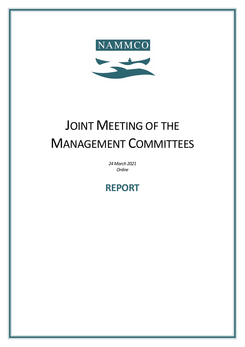

# JOINT MEETING OF THE MANAGEMENT COMMITTEES

*24March 2021 Online*

# **REPORT**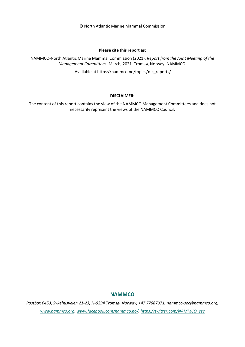© North Atlantic Marine Mammal Commission

#### **Please cite this report as:**

NAMMCO-North Atlantic Marine Mammal Commission (2021). *Report from the Joint Meeting of the Management Committees*. March, 2021. Tromsø, Norway: NAMMCO.

Available at https://nammco.no/topics/mc\_reports/

#### **DISCLAIMER:**

The content of this report contains the view of the NAMMCO Management Committees and does not necessarily represent the views of the NAMMCO Council.

#### **NAMMCO**

*Postbox 6453, Sykehusveien 21-23, N-9294 Tromsø, Norway, +47 77687371, nammco-sec@nammco.org, [www.nammco.org,](https://nammco.sharepoint.com/Users/manatugend/Desktop/www.nammco.no) [www.facebook.com/nammco.no/,](http://www.facebook.com/nammco.no/) [https://twitter.com/NAMMCO\\_sec](https://twitter.com/NAMMCO_sec)*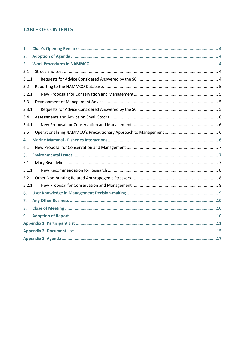# **TABLE OF CONTENTS**

| 1.    |  |  |  |  |
|-------|--|--|--|--|
| 2.    |  |  |  |  |
| 3.    |  |  |  |  |
| 3.1   |  |  |  |  |
| 3.1.1 |  |  |  |  |
| 3.2   |  |  |  |  |
| 3.2.1 |  |  |  |  |
| 3.3   |  |  |  |  |
| 3.3.1 |  |  |  |  |
| 3.4   |  |  |  |  |
| 3.4.1 |  |  |  |  |
| 3.5   |  |  |  |  |
| 4.    |  |  |  |  |
| 4.1   |  |  |  |  |
| 5.    |  |  |  |  |
| 5.1   |  |  |  |  |
| 5.1.1 |  |  |  |  |
| 5.2   |  |  |  |  |
| 5.2.1 |  |  |  |  |
| 6.    |  |  |  |  |
| 7.    |  |  |  |  |
| 8.    |  |  |  |  |
| 9.    |  |  |  |  |
|       |  |  |  |  |
|       |  |  |  |  |
|       |  |  |  |  |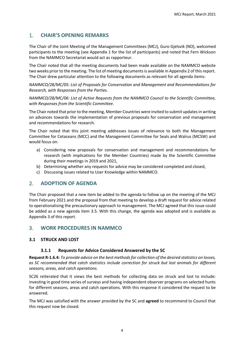## <span id="page-3-0"></span>1. **CHAIR'S OPENING REMARKS**

The Chair of the Joint Meeting of the Management Committees (MCJ), Guro Gjelsvik (NO), welcomed participants to the meeting (see [Appendix 1](#page-10-0) for the list of participants) and noted that Fern Wickson from the NAMMCO Secretariat would act as rapporteur.

The Chair noted that all the meeting documents had been made available on the NAMMCO website two weeks prior to the meeting. The list of meeting documents is available in [Appendix 2](#page-14-0) of this report. The Chair drew particular attention to the following documents as relevant for all agenda items:

*NAMMCO/28/MC/05: List of Proposals for Conservation and Management and Recommendations for Research, with Responses from the Parties.*

*NAMMCO/28/MC/06: List of Active Requests from the NAMMCO Council to the Scientific Committee, with Responses from the Scientific Committee.* 

The Chair noted that prior to the meeting, Member Countries were invited to submit updates in writing on advances towards the implementation of previous proposals for conservation and management and recommendations for research.

The Chair noted that this joint meeting addresses issues of relevance to both the Management Committee for Cetaceans (MCC) and the Management Committee for Seals and Walrus (MCSW) and would focus on:

- a) Considering new proposals for conservation and management and recommendations for research (with implications for the Member Countries) made by the Scientific Committee during their meetings in 2019 and 2021,
- b) Determining whether any requests for advice may be considered completed and closed,
- c) Discussing issues related to User Knowledge within NAMMCO.

#### <span id="page-3-1"></span>2. **ADOPTION OF AGENDA**

The Chair proposed that a new item be added to the agenda to follow up on the meeting of the MCJ from February 2021 and the proposal from that meeting to develop a draft request for advice related to operationalising the precautionary approach to management. The MCJ agreed that this issue could be added as a new agenda item 3.5. With this change, the agenda was adopted and is available as [Appendix 3](#page-16-0) of this report.

#### <span id="page-3-2"></span>3. **WORK PROCEDURES IN NAMMCO**

#### <span id="page-3-4"></span><span id="page-3-3"></span>**3.1 STRUCK AND LOST**

#### **3.1.1 Requests for Advice Considered Answered by the SC**

**Request R-1.6.4:** *To provide advice on the best methods for collection of the desired statistics on losses, as SC recommended that catch statistics include correction for struck but lost animals for different seasons, areas, and catch operations.*

SC26 reiterated that it views the best methods for collecting data on struck and lost to include: investing in good time series of surveys and having independent observer programs on selected hunts for different seasons, areas and catch operations. With this response it considered the request to be answered.

The MCJ was satisfied with the answer provided by the SC and **agreed** to recommend to Council that this request now be closed.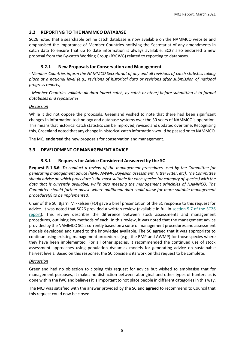#### <span id="page-4-0"></span>**3.2 REPORTING TO THE NAMMCO DATABASE**

SC26 noted that a searchable online catch database is now available on the NAMMCO website and emphasised the importance of Member Countries notifying the Secretariat of any amendments in catch data to ensure that up to date information is always available. SC27 also endorsed a new proposal from the By-catch Working Group (BYCWG) related to reporting to databases.

#### **3.2.1 New Proposals for Conservation and Management**

<span id="page-4-1"></span>*- Member Countries inform the NAMMCO Secretariat of any and all revisions of catch statistics taking place at a national level (e.g., revisions of historical data or revisions after submission of national progress reports).*

*- Member Countries validate all data (direct catch, by-catch or other) before submitting it to formal databases and repositories.*

#### *Discussion*

While it did not oppose the proposals, Greenland wished to note that there had been significant changes in information technology and database systems over the 30 years of NAMMCO's operation. This means that historical catch statistics can be improved, revised and updated over time. Recognising this, Greenland noted that any change in historical catch information would be passed on to NAMMCO.

The MCJ **endorsed** the new proposals for conservation and management.

#### <span id="page-4-3"></span><span id="page-4-2"></span>**3.3 DEVELOPMENT OF MANAGEMENT ADVICE**

#### **3.3.1 Requests for Advice Considered Answered by the SC**

**Request R-1.6.6:** *To conduct a review of the management procedures used by the Committee for generating management advice (RMP, AWMP, Bayesian assessment, Hitter Fitter, etc). The Committee should advise on which procedure is the most suitable for each species (or category of species) with the data that is currently available, while also meeting the management principles of NAMMCO. The Committee should further advise where additional data could allow for more suitable management procedure(s) to be implemented.*

Chair of the SC, Bjarni Mikkelsen (FO) gave a brief presentation of the SC response to this request for advice. It was noted that SC26 provided a written review (available in full in [section 5.7 of the SC26](https://nammco.no/wp-content/uploads/2017/01/final-report_sc26-2019_rev230120.pdf#page=22)  [report\)](https://nammco.no/wp-content/uploads/2017/01/final-report_sc26-2019_rev230120.pdf#page=22). This review describes the difference between stock assessments and management procedures, outlining key methods of each. In this review, it was noted that the management advice provided by the NAMMCO SC is currently based on a suite of management procedures and assessment models developed and tuned to the knowledge available. The SC agreed that it was appropriate to continue using existing management procedures (e.g., the RMP and AWMP) for those species where they have been implemented. For all other species, it recommended the continued use of stock assessment approaches using population dynamics models for generating advice on sustainable harvest levels. Based on this response, the SC considers its work on this request to be complete.

#### *Discussion*

Greenland had no objection to closing this request for advice but wished to emphasise that for management purposes, it makes no distinction between aboriginal and other types of hunters as is done within the IWC and believes it is important to not place people in different categories in this way.

The MCJ was satisfied with the answer provided by the SC and **agreed** to recommend to Council that this request could now be closed.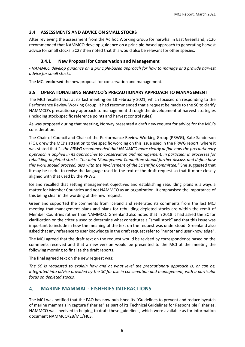#### <span id="page-5-0"></span>**3.4 ASSESSMENTS AND ADVICE ON SMALL STOCKS**

After reviewing the assessment from the Ad hoc Working Group for narwhal in East Greenland, SC26 recommended that NAMMCO develop guidance on a principle-based approach to generating harvest advice for small stocks. SC27 then noted that this would also be relevant for other species.

#### **3.4.1 New Proposal for Conservation and Management**

<span id="page-5-1"></span>*- NAMMCO develop guidance on a principle-based approach for how to manage and provide harvest advice for small stocks.* 

The MCJ **endorsed** the new proposal for conservation and management.

#### <span id="page-5-2"></span>**3.5 OPERATIONALISING NAMMCO'S PRECAUTIONARY APPROACH TO MANAGEMENT**

The MCJ recalled that at its last meeting on 18 February 2021, which focused on responding to the Performance Review Working Group, it had recommended that a request be made to the SC to clarify NAMMCO's precautionary approach to management through the development of harvest strategies (including stock-specific reference points and harvest control rules).

As was proposed during that meeting, Norway presented a draft new request for advice for the MCJ's consideration.

The Chair of Council and Chair of the Performance Review Working Group (PRWG), Kate Sanderson (FO), drew the MCJ's attention to the specific wording on this issue used in the PRWG report, where it was stated that "…*the PRWG recommended that NAMMCO more clearly define how the precautionary approach is applied in its approaches to conservation and management, in particular in processes for rebuilding depleted stocks. The Joint Management Committee should further discuss and define how this work should proceed, also with the involvement of the Scientific Committee."* She suggested that it may be useful to revise the language used in the text of the draft request so that it more closely aligned with that used by the PRWG.

Iceland recalled that setting management objectives and establishing rebuilding plans is always a matter for Member Countries and not NAMMCO as an organization. It emphasised the importance of this being clear in the wording of the new request.

Greenland supported the comments from Iceland and reiterated its comments from the last MCJ meeting that management plans and plans for rebuilding depleted stocks are within the remit of Member Countries rather than NAMMCO. Greenland also noted that in 2018 it had asked the SC for clarification on the criteria used to determine what constitutes a "small stock" and that this issue was important to include in how the meaning of the text on the request was understood. Greenland also asked that any reference to user knowledge in the draft request refer to "hunter and user knowledge".

The MCJ agreed that the draft text on the request would be revised by correspondence based on the comments received and that a new version would be presented to the MCJ at the meeting the following morning to finalise the draft reports.

The final agreed text on the new request was:

*The SC is requested to explain how and at what level the precautionary approach is, or can be, integrated into advice provided by the SC for use in conservation and management, with a particular focus on depleted stocks.*

#### <span id="page-5-3"></span>4. **MARINE MAMMAL - FISHERIES INTERACTIONS**

The MCJ was notified that the FAO has now published its "Guidelines to prevent and reduce bycatch of marine mammals in capture fisheries" as part of its Technical Guidelines for Responsible Fisheries. NAMMCO was involved in helping to draft these guidelines, which were available as for information document NAMMCO/28/MC/FI03.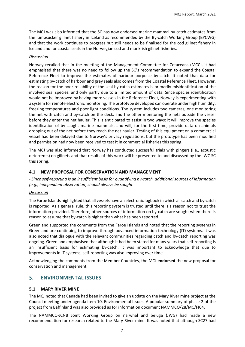The MCJ was also informed that the SC has now endorsed marine mammal by-catch estimates from the lumpsucker gillnet fishery in Iceland as recommended by the By-catch Working Group (BYCWG) and that the work continues to progress but still needs to be finalised for the cod gillnet fishery in Iceland and for coastal seals in the Norwegian cod and monkfish gillnet fisheries.

#### *Discussion*

Norway recalled that in the meeting of the Management Committee for Cetaceans (MCC), it had emphasised that there was no need to follow up the SC's recommendation to expand the Coastal Reference Fleet to improve the estimates of harbour porpoise by-catch. It noted that data for estimating by-catch of harbour and grey seals also comes from the Coastal Reference Fleet. However, the reason for the poor reliability of the seal by-catch estimates is primarily misidentification of the involved seal species, and only partly due to a limited amount of data. Since species identification would not be improved by having more vessels in the Reference Fleet, Norway is experimenting with a system for remote electronic monitoring. The prototype developed can operate under high humidity, freezing temperatures and poor light conditions. The system includes two cameras, one monitoring the net with catch and by-catch on the deck, and the other monitoring the nets outside the vessel before they enter the net hauler. This is anticipated to assist in two ways: it will improve the species identification of by-caught marine mammals, and will, for the first time, provide data on animals dropping out of the net before they reach the net hauler. Testing of this equipment on a commercial vessel had been delayed due to Norway's privacy regulations, but the prototype has been modified and permission had now been received to test it in commercial fisheries this spring.

The MCJ was also informed that Norway has conducted successful trials with pingers (i.e., acoustic deterrents) on gillnets and that results of this work will be presented to and discussed by the IWC SC this spring.

#### <span id="page-6-0"></span>**4.1 NEW PROPOSAL FOR CONSERVATION AND MANAGEMENT**

*- Since self-reporting is an insufficient basis for quantifying by-catch, additional sources of information (e.g., independent observation) should always be sought.*

#### *Discussion*

The Faroe Islands highlighted that all vessels have an electronic logbook in which all catch and by-catch is reported. As a general rule, this reporting system is trusted until there is a reason not to trust the information provided. Therefore, other sources of information on by-catch are sought when there is reason to assume that by-catch is higher than what has been reported.

Greenland supported the comments from the Faroe Islands and noted that the reporting systems in Greenland are continuing to improve through advanced information technology (IT) systems. It was also noted that dialogue with the relevant communities regarding catch and by-catch reporting was ongoing. Greenland emphasised that although it had been stated for many years that self-reporting is an insufficient basis for estimating by-catch, it was important to acknowledge that due to improvements in IT systems, self-reporting was also improving over time.

Acknowledging the comments from the Member Countries, the MCJ **endorsed** the new proposal for conservation and management.

#### <span id="page-6-1"></span>5. **ENVIRONMENTAL ISSUES**

#### <span id="page-6-2"></span>**5.1 MARY RIVER MINE**

The MCJ noted that Canada had been invited to give an update on the Mary River mine project at the Council meeting under agenda item 10, Environmental Issues. A popular summary of phase 2 of the project from Baffinland was also provided as for information document NAMMCO/28/MC/FI04.

The NAMMCO-JCNB Joint Working Group on narwhal and beluga (JWG) had made a new recommendation for research related to the Mary River mine. It was noted that although SC27 had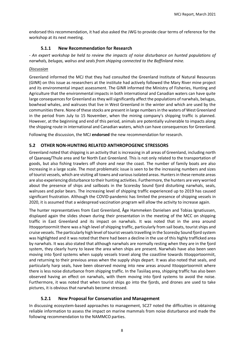endorsed this recommendation, it had also asked the JWG to provide clear terms of reference for the workshop at its next meeting.

#### **5.1.1 New Recommendation for Research**

<span id="page-7-0"></span>*- An expert workshop be held to review the impacts of noise disturbance on hunted populations of narwhals, belugas, walrus and seals from shipping connected to the Baffinland mine.*

#### *Discussion*

Greenland informed the MCJ that they had consulted the Greenland Institute of Natural Resources (GINR) on this issue as researchers at the institute had actively followed the Mary River mine project and its environmental impact assessment. The GINR informed the Ministry of Fisheries, Hunting and Agriculture that the environmental impacts in both international and Canadian waters can have quite large consequences for Greenland as they will significantly affect the populations of narwhals, belugas, bowhead whales, and walruses that live in West Greenland in the winter and which are used by the communities there. None of these stocks are present in large numbers in the waters of West Greenland in the period from July to 15 November, when the mining company's shipping traffic is planned. However, at the beginning and end of this period, animals are potentially vulnerable to impacts along the shipping route in international and Canadian waters, which can have consequences for Greenland.

Following the discussion, the MCJ **endorsed** the new recommendation for research.

#### <span id="page-7-1"></span>**5.2 OTHER NON-HUNTING RELATED ANTHROPOGENIC STRESSORS**

Greenland noted that shipping is an activity that is increasing in all areas of Greenland, including north of Qaanaaq/Thule area and far North East Greenland. This is not only related to the transportation of goods, but also fishing trawlers off shore and near the coast. The number of family boats are also increasing in a large scale. The most problematic issue is seen to be the increasing numbers and sizes of tourist vessels, which are visiting all towns and various isolated areas. Hunters in these remote areas are also experiencing disturbance to their hunting activities. Furthermore, the hunters are very worried about the presence of ships and sailboats in the Scoresby Sound fjord disturbing narwhals, seals, walruses and polar bears. The increasing level of shipping traffic experienced up to 2019 has caused significant frustration. Although the COVID-pandemic has limited the presence of shipping vessels in 2020, it is assumed that a widespread vaccination program will allow the activity to increase again.

The hunter representatives from East Greenland, Åge Hammeken Danielsen and Tobias Ignatiussen, displayed again the slides shown during their presentation in the meeting of the MCC on shipping traffic in East Greenland and its impact on narwhals. It was noted that in the area around Ittoqqortoormiit there was a high level of shipping traffic, particularly from sail boats, tourist ships and cruise vessels. The particularly high level of tourist vessels travelling in the Scoresby Sound fjord system was highlighted and it was noted that there had been a decline in the use of this highly trafficked area by narwhals. It was also stated that although narwhals are normally resting when they are in the fjord system, they clearly hurry to leave the area when ships are present. Narwhals have also been seen moving into fjord systems when supply vessels travel along the coastline towards Ittoqqortoormiit, and returning to their previous areas when the supply ships depart. It was also noted that seals, and particularly harp seals, have been observed moving into new areas around Ittoqqortoormiit where there is less noise disturbance from shipping traffic. In the Tasiilaq area, shipping traffic has also been observed having an effect on narwhals, with them moving into fjord systems to avoid the noise. Furthermore, it was noted that when tourist ships go into the fjords, and drones are used to take pictures, it is obvious that narwhals become stressed.

#### **5.2.1 New Proposal for Conservation and Management**

<span id="page-7-2"></span>In discussing ecosystem-based approaches to management, SC27 noted the difficulties in obtaining reliable information to assess the impact on marine mammals from noise disturbance and made the following recommendation to the NAMMCO parties.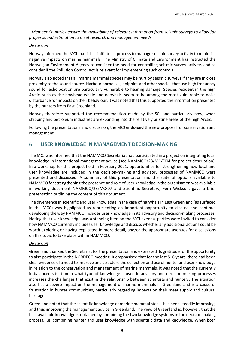*- Member Countries ensure the availability of relevant information from seismic surveys to allow for proper sound estimation to meet research and management needs.* 

#### *Discussion*

Norway informed the MCJ that it has initiated a process to manage seismic survey activity to minimise negative impacts on marine mammals. The Ministry of Climate and Environment has instructed the Norwegian Environment Agency to consider the need for controlling seismic survey activity, and to consider if the Pollution Control Act is relevant for implementing such controls.

Norway also noted that all marine mammal species may be hurt by seismic surveys if they are in close proximity to the sound source. Harbour porpoises, dolphins and other species that use high frequency sound for echolocation are particularly vulnerable to hearing damage. Species resident in the high Arctic, such as the bowhead whale and narwhals, seem to be among the most vulnerable to noise disturbance forimpacts on their behaviour. It was noted that thissupported the information presented by the hunters from East Greenland.

Norway therefore supported the recommendation made by the SC, and particularly now, when shipping and petroleum industries are expanding into the relatively pristine areas of the high Arctic.

Following the presentations and discussion, the MCJ **endorsed** the new proposal for conservation and management.

#### <span id="page-8-0"></span>6. **USER KNOWLEDGE IN MANAGEMENT DECISION-MAKING**

The MCJ was informed that the NAMMCO Secretariat had participated in a project on integrating local knowledge in international management advice (see NAMMCO/28/MC/FI04 for project description). In a workshop for this project held in February 2021, opportunities for strengthening how local and user knowledge are included in the decision-making and advisory processes of NAMMCO were presented and discussed. A summary of this presentation and the suite of options available to NAMMCO for strengthening the presence and role of user knowledge in the organisation was available in working document NAMMCO/28/MC/07 and Scientific Secretary, Fern Wickson, gave a brief presentation outlining the content of this document.

The divergence in scientific and user knowledge in the case of narwhals in East Greenland (as surfaced in the MCC) was highlighted as representing an important opportunity to discuss and continue developing the way NAMMCO includes user knowledge in its advisory and decision-making processes. Noting that user knowledge was a standing item on the MCJ agenda, parties were invited to consider how NAMMCO currently includes user knowledge and discuss whether any additional actions could be worth exploring or having explicated in more detail, and/or the appropriate avenues for discussions on this topic to take place within NAMMCO.

#### *Discussion*

Greenland thanked the Secretariat for the presentation and expressed its gratitude for the opportunity to also participate in the NORDECO meeting. It emphasised that for the last 5–6 years, there had been clear evidence of a need to improve and structure the collection and use of hunter and user knowledge in relation to the conservation and management of marine mammals. It was noted that the currently imbalanced situation in what type of knowledge is used in advisory and decision-making processes increases the challenges that exist in the relationship between scientists and hunters. The situation also has a severe impact on the management of marine mammals in Greenland and is a cause of frustration in hunter communities, particularly regarding impacts on their meat supply and cultural heritage.

Greenland noted that the scientific knowledge of marine mammal stocks has been steadily improving, and thus improving the management advice in Greenland. The view of Greenland is, however, that the best available knowledge is obtained by combining the two knowledge systemsin the decision making process, i.e. combining hunter and user knowledge with scientific data and knowledge. When both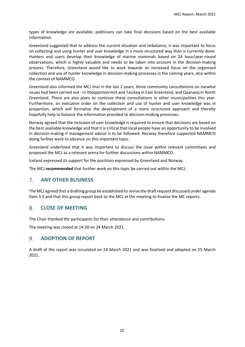types of knowledge are available, politicians can take final decisions based on the best available information.

Greenland suggested that to address the current situation and imbalance, it was important to focus on collecting and using hunter and user knowledge in a more structured way than is currently done. Hunters and users develop their knowledge of marine mammals based on 24 hour/year-round observations, which is highly valuable and needs to be taken into account in the decision-making process. Therefore, Greenland would like to work towards an increased focus on the organised collection and use of hunter knowledge in decision-making processes in the coming years, also within the context of NAMMCO.

Greenland also informed the MCJ that in the last 2 years, three community consultations on narwhal issues had been carried out - in Ittoqqortoormiit and Tasiilaq in East Greenland, and Qaanaaq in North Greenland. There are also plans to continue these consultations in other municipalities this year. Furthermore, an executive order on the collection and use of hunter and user knowledge was in prepartion, which will formalise the development of a more structured approach and thereby hopefully help to balance the information provided to decision-making processes.

Norway agreed that the inclusion of user knowledge is required to ensure that decisions are based on the best available knowledge and that it is critical that local people have an opportunity to be involved in decision-making if management advice is to be followed. Norway therefore supported NAMMCO doing further work to advance on this important topic.

Greenland underlined that it was important to discuss the issue within relevant committees and proposed the MCJ as a relevant arena for further discussions within NAMMCO.

Iceland expressed its support for the positions expressed by Greenland and Norway.

The MCJ **recommended** that further work on this topic be carried out within the MCJ.

#### <span id="page-9-0"></span>7. **ANY OTHER BUSINESS**

The MCJ agreed that a drafting group be established to revise the draft request discussed under agenda item 3.5 and that this group report back to the MCJ at the meeting to finalise the MC reports.

#### <span id="page-9-1"></span>8. **CLOSE OF MEETING**

The Chair thanked the participants for their attendance and contributions.

The meeting was closed at 14:30 on 24 March 2021.

#### <span id="page-9-2"></span>9. **ADOPTION OF REPORT**

A draft of the report was circulated on 24 March 2021 and was finalised and adopted on 25 March 2021.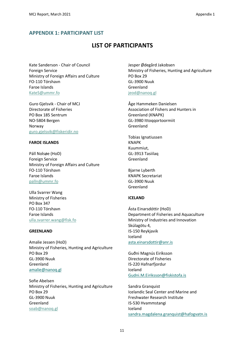# <span id="page-10-0"></span>**APPENDIX 1: PARTICIPANT LIST**

# **LIST OF PARTICIPANTS**

Kate Sanderson - Chair of Council Foreign Service Ministry of Foreign Affairs and Culture FO-110 Tórshavn Faroe Islands KateS@ummr.fo

Guro Gjelsvik - Chair of MCJ Directorate of Fisheries PO Box 185 Sentrum NO-5804 Bergen Norway guro.gjelsvik@fiskeridir.no

#### **FAROE ISLANDS**

Páll Nolsøe (HoD) Foreign Service Ministry of Foreign Affairs and Culture FO-110 Tórshavn Faroe Islands palln@ummr.fo

Ulla Svarrer Wang Ministry of Fisheries PO Box 347 FO-110 Tórshavn Faroe Islands ulla.svarrer.wang@fisk.fo

#### **GREENLAND**

Amalie Jessen (HoD) Ministry of Fisheries, Hunting and Agriculture PO Box 29 GL-3900 Nuuk Greenland [amalie@nanoq.gl](mailto:Amalie@nanoq.gl)

Sofie Abelsen Ministry of Fisheries, Hunting and Agriculture PO Box 29 GL-3900 Nuuk Greenland soab@nanoq.gl

Jesper Ødegård Jakobsen Ministry of Fisheries, Hunting and Agriculture PO Box 29 GL-3900 Nuuk Greenland jeod@nanoq.gl

Åge Hammeken Danielsen Association of Fishers and Hunters in Greenland (KNAPK) GL-3980 Ittoqqortoormiit Greenland

Tobias Ignatiussen KNAPK Kuummiut, GL-3913 Tasiilaq Greenland

Bjarne Lyberth KNAPK Secretariat GL-3900 Nuuk Greenland

#### **ICELAND**

Ásta Einarsdóttir (HoD) Department of Fisheries and Aquaculture Ministry of Industries and Innovation Skúlagötu 4, IS-150 Reykjavik Iceland [asta.einarsdottir@anr.is](mailto:asta.einarsdottir@anr.is)

Guðni Magnús Eiríksson Directorate of Fisheries IS-220 Hafnarfjordur Iceland [Gudni.M.Eiriksson@fiskistofa.is](mailto:Gudni.M.Eiriksson@fiskistofa.is)

Sandra Granquist Icelandic Seal Center and Marine and Freshwater Research Institute IS-530 Hvammstangi Iceland [sandra.magdalena.granquist@hafogvatn.is](mailto:sandra.magdalena.granquist@hafogvatn.is)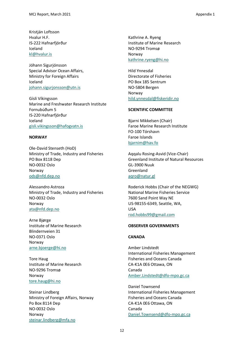Kristján Loftsson Hvalur H.F. IS-222 Hafnarfjörður Iceland [kl@hvalur.is](mailto:kl@hvalur.is)

Jóhann Sigurjónsson Special Advisor Ocean Affairs, Ministry for Foreign Affairs Iceland [johann.sigurjonsson@utn.is](mailto:johann.sigurjonsson@utn.is)

Gísli Víkingsson Marine and Freshwater Research Institute Fornubúðum 5 IS-220 Hafnarfjörður Iceland [gisli.vikingsson@hafogvatn.is](mailto:gisli.vikingsson@hafogvatn.is)

#### **NORWAY**

Ole-David Stenseth (HoD) Ministry of Trade, Industry and Fisheries PO Box 8118 Dep NO-0032 Oslo Norway [ods@nfd.dep.no](mailto:ods@nfd.dep.no)

Alessandro Astroza Ministry of Trade, Industry and Fisheries NO-0032 Oslo Norway [ata@nfd.dep.no](https://nammco.sharepoint.com/Sec/07-MCs/03-Committee%20Meetings/2021%20-%20NAMMCO%2028/Annual%20Meeting%2028/Reports/ata@nfd.dep.no)

Arne Bjørge Institute of Marine Research Blindernveien 31 NO-0371 Oslo Norway [arne.bjoerge@hi.no](mailto:arne.bjoerge@hi.no)

Tore Haug Institute of Marine Research NO-9296 Tromsø Norway [tore.haug@hi.no](mailto:tore.haug@hi.no)

Steinar Lindberg Ministry of Foreign Affairs, Norway Po Box 8114 Dep NO-0032 Oslo Norway [steinar.lindberg@mfa.no](mailto:steinar.lindberg@mfa.no)

Kathrine A. Ryeng Institute of Marine Research NO-9294 Tromsø Norway [kathrine.ryeng@hi.no](mailto:kathrine.ryeng@hi.no)

Hild Ynnesdal Directorate of Fisheries PO Box 185 Sentrum NO-5804 Bergen Norway [hild.ynnesdal@fiskeridir.no](https://nammco.sharepoint.com/Sec/07-MCs/03-Committee%20Meetings/2021%20-%20NAMMCO%2028/18-February%20meeting/Report/hild.ynnesdal@fiskeridir.no)

#### **SCIENTIFIC COMMITTEE**

Bjarni Mikkelsen (Chair) Faroe Marine Research Institute FO-100 Tórshavn Faroe Islands bjarnim@hav.fo

Aqqalu Rosing-Asvid (Vice-Chair) Greenland Institute of Natural Resources GL-3900 Nuuk Greenland [aqro@natur.gl](https://nammco.sharepoint.com/Sec/07-MCs/03-Committee%20Meetings/2021%20-%20NAMMCO%2028/Annual%20Meeting%2028/Reports/aqro@natur.gl)

Roderick Hobbs (Chair of the NEGWG) National Marine Fisheries Service 7600 Sand Point Way NE US-98155-6349, Seattle, WA, USA [rod.hobbs99@gmail.com](mailto:rod.hobbs99@gmail.com)

#### **OBSERVER GOVERNMENTS**

#### **CANADA**

Amber Lindstedt International Fisheries Management Fisheries and Oceans Canada CA-K1A 0E6 Ottawa, ON Canada [Amber.Lindstedt@dfo-mpo.gc.ca](https://nammco.sharepoint.com/Sec/07-MCs/03-Committee%20Meetings/2021%20-%20NAMMCO%2028/Annual%20Meeting%2028/Reports/Amber.Lindstedt@dfo-mpo.gc.ca)

Daniel Townsend International Fisheries Management Fisheries and Oceans Canada CA-K1A 0E6 Ottawa, ON Canada [Daniel.Townsend@dfo-mpo.gc.ca](https://nammco.sharepoint.com/Sec/07-MCs/03-Committee%20Meetings/2021%20-%20NAMMCO%2028/Annual%20Meeting%2028/Reports/Daniel.Townsend@dfo-mpo.gc.ca)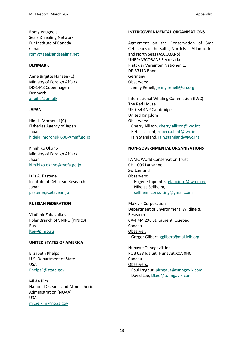Romy Vaugeois Seals & Sealing Network Fur Institute of Canada Canada [romy@sealsandsealing.net](mailto:romy@sealsandsealing.net)

#### **DENMARK**

Anne Birgitte Hansen (C) Ministry of Foreign Affairs DK-1448 Copenhagen Denmark [anbiha@um.dk](mailto:anbiha@um.dk)

#### **JAPAN**

Hideki Moronuki (C) Fisheries Agency of Japan Japan [hideki\\_moronuki600@maff.go.jp](mailto:hideki_moronuki600@maff.go.jp)

Kimihiko Okano Ministry of Foreign Affairs Japan [kimihiko.okano@mofa.go.jp](mailto:kimihiko.okano@mofa.go.jp)

Luis A. Pastene Institute of Cetacean Research Japan [pastene@cetacean.jp](mailto:pastene@cetacean.jp)

#### **RUSSIAN FEDERATION**

Vladimir Zabavnikov Polar Branch of VNIRO (PINRO) Russia [ltei@pinro.ru](mailto:ltei@pinro.ru)

#### **UNITED STATES OF AMERICA**

Elizabeth Phelps U.S. Department of State USA [PhelpsE@state.gov](https://nammco.sharepoint.com/Sec/07-MCs/03-Committee%20Meetings/2021%20-%20NAMMCO%2028/Annual%20Meeting%2028/Reports/PhelpsE@state.gov)

Mi Ae Kim National Oceanic and Atmospheric Administration (NOAA) USA [mi.ae.kim@noaa.gov](https://nammco.sharepoint.com/Sec/07-MCs/03-Committee%20Meetings/2021%20-%20NAMMCO%2028/Annual%20Meeting%2028/Reports/mi.ae.kim@noaa.gov)

#### **INTERGOVERNMENTAL ORGANISATIONS**

Agreement on the Conservation of Small Cetaceans of the Baltic, North East Atlantic, Irish and North Seas (ASCOBANS) UNEP/ASCOBANS Secretariat, Platz der Vereinten Nationen 1, DE-53113 Bonn Germany Observers: Jenny Renell, [jenny.renell@un.org](https://nammco.sharepoint.com/Sec/07-MCs/03-Committee%20Meetings/2021%20-%20NAMMCO%2028/Annual%20Meeting%2028/Reports/%20jenny.renell@un.org)

International Whaling Commission (IWC) The Red House UK-CB4 4NP Cambridge United Kingdom Observers: Cherry Allison, [cherry.allison@iwc.int](https://nammco.sharepoint.com/Sec/07-MCs/03-Committee%20Meetings/2021%20-%20NAMMCO%2028/Annual%20Meeting%2028/Reports/cherry.allison@iwc.int) Rebecca Lent, [rebecca.lent@iwc.int](mailto:rebecca.lent@iwc.int) Iain Staniland[, iain.staniland@iwc.int](mailto:iain.staniland@iwc.int)

#### **NON-GOVERNMENTAL ORGANISATIONS**

IWMC World Conservation Trust CH-1006 Lausanne Switzerland Observers: Eugène Lapointe, [elapointe@iwmc.org](mailto:elapointe@iwmc.org) Nikolas Sellheim, [sellheim.consulting@gmail.com](mailto:sellheim.consulting@gmail.com)

Makivik Corporation Department of Environment, Wildlife & Research CA-H4M 2X6 St. Laurent, Quebec Canada Observer: Gregor Gilbert[, ggilbert@makivik.org](https://nammco.sharepoint.com/Sec/07-MCs/03-Committee%20Meetings/2021%20-%20NAMMCO%2028/Annual%20Meeting%2028/Reports/ggilbert@makivik.org)

Nunavut Tunngavik Inc. POB 638 Iqaluit, Nunavut X0A 0H0 Canada Observers: Paul Irngaut, [pirngaut@tunngavik.com](https://nammco.sharepoint.com/Sec/07-MCs/03-Committee%20Meetings/2021%20-%20NAMMCO%2028/Annual%20Meeting%2028/Reports/pirngaut@tunngavik.com) David Lee[, DLee@tunngavik.com](https://nammco.sharepoint.com/Sec/07-MCs/03-Committee%20Meetings/2021%20-%20NAMMCO%2028/Annual%20Meeting%2028/Reports/DLee@tunngavik.com)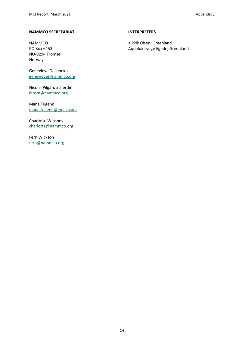#### **NAMMCO SECRETARIAT**

NAMMCO PO Box 6453 NO-9294 Tromsø Norway

Geneviève Desportes [genevieve@nammco.org](https://nammco.sharepoint.com/Sec/07-MCs/03-Committee%20Meetings/2021%20-%20NAMMCO%2028/18-February%20meeting/Report/genevieve@nammco.org)

Nicolai Pilgård Scherdin [intern@nammco.org](https://nammco.sharepoint.com/Sec/07-MCs/03-Committee%20Meetings/2021%20-%20NAMMCO%2028/Annual%20Meeting%2028/Reports/intern@nammco.org)

Mana Tugend [mana.tugend@gmail.com](https://nammco.sharepoint.com/Sec/07-MCs/03-Committee%20Meetings/2021%20-%20NAMMCO%2028/Annual%20Meeting%2028/Reports/mana.tugend@gmail.com)

Charlotte Winsnes [charlotte@nammco.org](https://nammco.sharepoint.com/Sec/07-MCs/03-Committee%20Meetings/2021%20-%20NAMMCO%2028/Annual%20Meeting%2028/Reports/charlotte@nammco.org)

Fern Wickson [fern@nammco.org](https://nammco.sharepoint.com/Sec/07-MCs/03-Committee%20Meetings/2021%20-%20NAMMCO%2028/Annual%20Meeting%2028/Reports/fern@nammco.org)

#### **INTERPRETERS**

Kikkik Olsen, Greenland Aqqaluk Lynge Egede, Greenland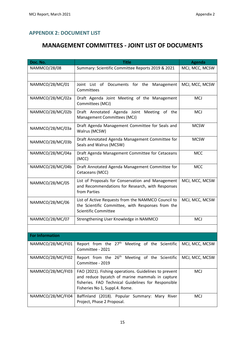# <span id="page-14-0"></span>**APPENDIX 2: DOCUMENT LIST**

# **MANAGEMENT COMMITTEES - JOINT LIST OF DOCUMENTS**

| Doc. No.               | <b>Title</b>                                                                                                                                                                                      | <b>Agenda</b>  |
|------------------------|---------------------------------------------------------------------------------------------------------------------------------------------------------------------------------------------------|----------------|
| <b>NAMMCO/28/08</b>    | Summary: Scientific Committee Reports 2019 & 2021                                                                                                                                                 | MCJ, MCC, MCSW |
|                        |                                                                                                                                                                                                   |                |
| NAMMCO/28/MC/01        | Joint List of Documents for the<br>Management<br>Committees                                                                                                                                       | MCJ, MCC, MCSW |
| NAMMCO/28/MC/02a       | Draft Agenda Joint Meeting of the Management<br>Committees (MCJ)                                                                                                                                  | <b>MCJ</b>     |
| NAMMCO/28/MC/02b       | Draft Annotated Agenda Joint Meeting of the<br>Management Committees (MCJ)                                                                                                                        | <b>MCJ</b>     |
| NAMMCO/28/MC/03a       | Draft Agenda Management Committee for Seals and<br>Walrus (MCSW)                                                                                                                                  | <b>MCSW</b>    |
| NAMMCO/28/MC/03b       | Draft Annotated Agenda Management Committee for<br>Seals and Walrus (MCSW)                                                                                                                        | <b>MCSW</b>    |
| NAMMCO/28/MC/04a       | Draft Agenda Management Committee for Cetaceans<br>(MCC)                                                                                                                                          | <b>MCC</b>     |
| NAMMCO/28/MC/04b       | Draft Annotated Agenda Management Committee for<br>Cetaceans (MCC)                                                                                                                                | <b>MCC</b>     |
| NAMMCO/28/MC/05        | List of Proposals for Conservation and Management<br>and Recommendations for Research, with Responses<br>from Parties                                                                             | MCJ, MCC, MCSW |
| NAMMCO/28/MC/06        | List of Active Requests from the NAMMCO Council to<br>the Scientific Committee, with Responses from the<br><b>Scientific Committee</b>                                                            | MCJ, MCC, MCSW |
| NAMMCO/28/MC/07        | Strengthening User Knowledge in NAMMCO                                                                                                                                                            | <b>MCJ</b>     |
|                        |                                                                                                                                                                                                   |                |
| <b>For Information</b> |                                                                                                                                                                                                   |                |
|                        | NAMMCO/28/MC/FI01 Report from the $27th$ Meeting of the Scientific MCJ, MCC, MCSW<br>Committee - 2021                                                                                             |                |
| NAMMCO/28/MC/FI02      | Report from the 26 <sup>th</sup> Meeting of the Scientific<br>Committee - 2019                                                                                                                    | MCJ, MCC, MCSW |
| NAMMCO/28/MC/FI03      | FAO (2021). Fishing operations. Guidelines to prevent<br>and reduce bycatch of marine mammals in capture<br>fisheries. FAO Technical Guidelines for Responsible<br>Fisheries No 1, Suppl.4. Rome. | <b>MCJ</b>     |
| NAMMCO/28/MC/FI04      | Baffinland (2018). Popular Summary: Mary River<br>Project, Phase 2 Proposal.                                                                                                                      | <b>MCJ</b>     |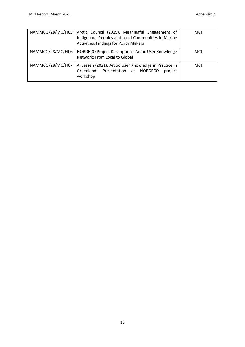| NAMMCO/28/MC/FI05 | Arctic Council (2019). Meaningful Engagement of<br>Indigenous Peoples and Local Communities in Marine<br><b>Activities: Findings for Policy Makers</b> | <b>MCJ</b> |
|-------------------|--------------------------------------------------------------------------------------------------------------------------------------------------------|------------|
| NAMMCO/28/MC/FI06 | NORDECO Project Description - Arctic User Knowledge<br>Network: From Local to Global                                                                   | <b>MCJ</b> |
| NAMMCO/28/MC/FI07 | A. Jessen (2021). Arctic User Knowledge in Practice in<br>Greenland: Presentation at NORDECO<br>project<br>workshop                                    | <b>MCJ</b> |